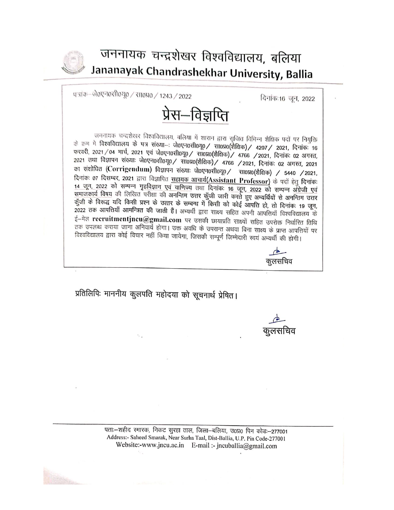

## जननायक चन्द्रशेखर विश्वविद्यालय, बलिया Jananayak Chandrashekhar University, Ballia

पञ्जांक–जे०एन०र1ी०यू० / सा०प्र० / 1243 / 2022

दिनांक:16 जून, 2022



जननायक चन्द्रशेखर विश्वविद्यालय, बलिया में शारान द्वारा राजित विभिन्न शैक्षिक पदों पर नियुक्ति के क्रम में विश्वविद्यालय के पत्र संख्या-: जे0एन0सी0यू0/ सा0प्र0(शैक्षिक)/ 4207/ 2021, दिनांक: 16 फरवरी, 2021 / 04 मार्च, 2021 एवं जे0एन0सी0यू0 / सा0प्र0(शैक्षिक) / 4766 / 2021, दिनांकः 02 अगस्त, 2021 तथा विज्ञापन संख्याः जे0एन0सी0यू0/ सा0प्र0(शैक्षिक)/ 4766 /2021, दिनांकः 02 अगस्त, 2021 का संशोधित (Corrigendum) विज्ञापन संख्याः जे0एन0सी0यू0/सा0प्र0(शैक्षिक) / 5440 /2021, दिनांकः 07 दिसम्बर, 2021 द्वारा विज्ञापित सहायक आचार्य(Assistant Professor) के पदों हेतु दिनांकः 14 जून, 2022 को सम्पन्न गृहविज्ञान एवं वाणिज्य तथा दिनांकः 16 जून, 2022 को सम्पन्न अँग्रेजी एवं समाजकार्य विषय की लिखित परीक्षा की अनन्तिम उत्तर कुँजी जारी करते हुए अभ्यर्थियों से अनन्तिम उत्तर कुँजी के विरूद्ध यदि किसी प्रश्न के उत्तर के सम्बन्ध में किसी को कोई आपत्ति हो, तो दिनांकः 19 जून, 2022 तक आपत्तियाँ आमन्त्रित की जाती हैं। अभ्यर्थी द्वारा साक्ष्य सहित अपनी आपत्तियाँ विश्वविद्यालय के ई-मेल recruitmentjncu@gmail.com पर उसकी छायाप्रति साक्ष्यों सहित उपरोक्त निर्धारित तिथि तक उपलब्ध कराया जाना अनिवार्य होगा। उक्त अवधि के उपरान्त अथवा बिना साक्ष्य के प्राप्त आपत्तियों पर विश्वविद्यालय द्वारा कोई विचार नहीं किया जायेगा, जिसकी सम्पूर्ण जिम्मेदारी स्वयं अभ्यर्थी की होगी।

कुलसचिव

प्रतिलिपिः माननीय कुलपति महोदया को सूचनार्थ प्रेषित।

पताः-शहीद रमारक, निकट सुरहा ताल, जिला-बलिया, उ०प्र० पिन कोडः-277001 Address:- Saheed Smarak, Near Surha Taal, Dist-Ballia, U.P. Pin Code-277001 Website:-www.jncu.ac.in E-mail :- jncuballia@gmail.com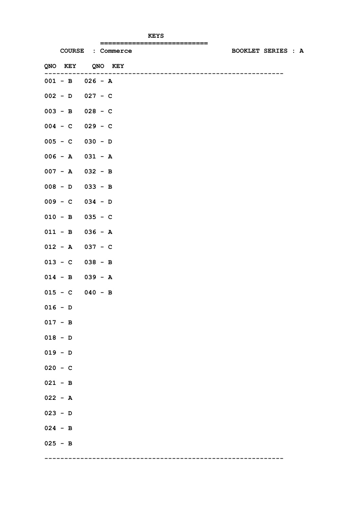|                     | ============================<br>COURSE : Commerce | <b>BOOKLET SERIES : A</b> |
|---------------------|---------------------------------------------------|---------------------------|
| QNO KEY QNO KEY     |                                                   |                           |
| $001 - B$ 026 - A   | ------------------------------------              |                           |
| $002 - D$ 027 - C   |                                                   |                           |
| $003 - B$ 028 - C   |                                                   |                           |
| $004 - C$ 029 - C   |                                                   |                           |
| $005 - C$ 030 - D   |                                                   |                           |
| $006 - A$ $031 - A$ |                                                   |                           |
| $007 - A$ 032 - B   |                                                   |                           |
| $008 - D$ 033 - B   |                                                   |                           |
| $009 - C$ 034 - D   |                                                   |                           |
| $010 - B$ 035 - C   |                                                   |                           |
| $011 - B$ 036 - A   |                                                   |                           |
| $012 - A$ 037 - C   |                                                   |                           |
| $013 - C$ 038 - B   |                                                   |                           |
| $014 - B$ 039 - A   |                                                   |                           |
| $015 - C$ 040 - B   |                                                   |                           |
| $016 - D$           |                                                   |                           |
| $017 - B$           |                                                   |                           |
| $018 - D$           |                                                   |                           |
| $019 - D$           |                                                   |                           |
| $020 - C$           |                                                   |                           |
| $021 - B$           |                                                   |                           |
| $022 - A$           |                                                   |                           |
| $023 - D$           |                                                   |                           |
| $024 - B$           |                                                   |                           |
| $025 - B$           |                                                   |                           |
|                     |                                                   |                           |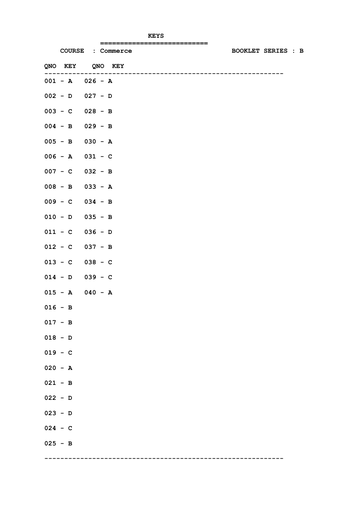|                     | =============================<br>COURSE : Commerce | <b>BOOKLET SERIES : B</b> |  |
|---------------------|----------------------------------------------------|---------------------------|--|
| QNO KEY QNO KEY     |                                                    |                           |  |
| $001 - A$ $026 - A$ |                                                    |                           |  |
| $002 - D$ 027 - D   |                                                    |                           |  |
| $003 - C$ 028 - B   |                                                    |                           |  |
| $004 - B$ 029 - B   |                                                    |                           |  |
| $005 - B$ 030 - A   |                                                    |                           |  |
| $006 - A$ $031 - C$ |                                                    |                           |  |
| $007 - C$ 032 - B   |                                                    |                           |  |
| $008 - B$ 033 - A   |                                                    |                           |  |
| $009 - C$ 034 - B   |                                                    |                           |  |
| $010 - D$ 035 - B   |                                                    |                           |  |
| $011 - C$ 036 - D   |                                                    |                           |  |
| $012 - C$ 037 - B   |                                                    |                           |  |
| $013 - C$ 038 - C   |                                                    |                           |  |
| $014 - D$ 039 - C   |                                                    |                           |  |
| $015 - A$ 040 - A   |                                                    |                           |  |
| $016 - B$           |                                                    |                           |  |
| $017 - B$           |                                                    |                           |  |
| $018 - D$           |                                                    |                           |  |
| $019 - C$           |                                                    |                           |  |
| $020 - A$           |                                                    |                           |  |
| $021 - B$           |                                                    |                           |  |
| $022 - D$           |                                                    |                           |  |
| $023 - D$           |                                                    |                           |  |
| $024 - C$           |                                                    |                           |  |
| $025 - B$           |                                                    |                           |  |
|                     |                                                    |                           |  |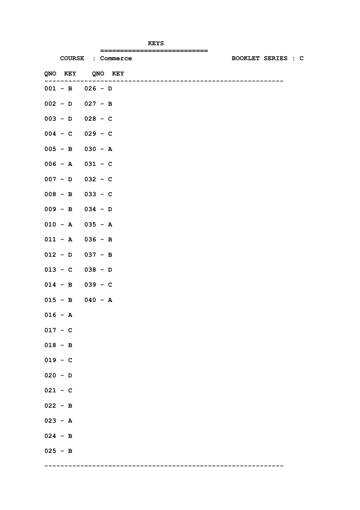|                     | ============================      |                           |
|---------------------|-----------------------------------|---------------------------|
|                     | COURSE : Commerce                 | <b>BOOKLET SERIES : C</b> |
| QNO KEY QNO KEY     | --------------------------------- |                           |
| $001 - B$ 026 - D   |                                   |                           |
| $002 - D$ 027 - B   |                                   |                           |
| $003 - D$ 028 - C   |                                   |                           |
| $004 - C$ 029 - C   |                                   |                           |
| $005 - B$ 030 - A   |                                   |                           |
| $006 - A$ $031 - C$ |                                   |                           |
| $007 - D$ 032 - C   |                                   |                           |
| $008 - B$ 033 - C   |                                   |                           |
| $009 - B$ 034 - D   |                                   |                           |
| $010 - A$ 035 - A   |                                   |                           |
| $011 - A$ 036 - B   |                                   |                           |
| $012 - D$ 037 - B   |                                   |                           |
| $013 - C$ 038 - D   |                                   |                           |
| $014 - B$ 039 - C   |                                   |                           |
| $015 - B$ 040 - A   |                                   |                           |
| $016 - A$           |                                   |                           |
| $017 - C$           |                                   |                           |
| $018 - B$           |                                   |                           |
| $019 - C$           |                                   |                           |
| $020 - D$           |                                   |                           |
| $021 - C$           |                                   |                           |
| $022 - B$           |                                   |                           |
| $023 - A$           |                                   |                           |
| $024 - B$           |                                   |                           |
| $025 - B$           |                                   |                           |
|                     |                                   |                           |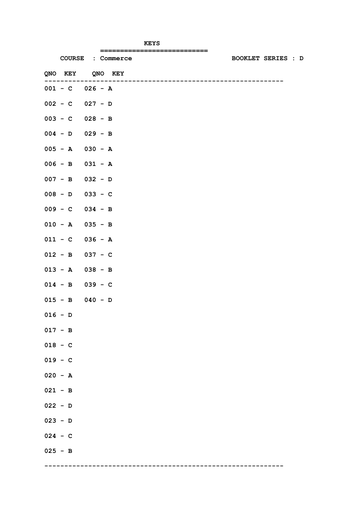|                     | =============================<br>COURSE : Commerce | <b>BOOKLET SERIES : D</b> |  |  |
|---------------------|----------------------------------------------------|---------------------------|--|--|
| QNO KEY QNO KEY     |                                                    |                           |  |  |
|                     |                                                    |                           |  |  |
| $001 - C$ $026 - A$ |                                                    |                           |  |  |
| $002 - C$ 027 - D   |                                                    |                           |  |  |
| $003 - C$ 028 - B   |                                                    |                           |  |  |
| $004 - D$ 029 - B   |                                                    |                           |  |  |
| $005 - A$ 030 - A   |                                                    |                           |  |  |
| $006 - B$ 031 - A   |                                                    |                           |  |  |
| $007 - B$ 032 - D   |                                                    |                           |  |  |
| $008 - D$ 033 - C   |                                                    |                           |  |  |
| $009 - C$ 034 - B   |                                                    |                           |  |  |
| $010 - A$ 035 - B   |                                                    |                           |  |  |
| $011 - C$ 036 - A   |                                                    |                           |  |  |
| $012 - B$ 037 - C   |                                                    |                           |  |  |
| $013 - A$ 038 - B   |                                                    |                           |  |  |
| $014 - B$ 039 - C   |                                                    |                           |  |  |
| $015 - B$ 040 - D   |                                                    |                           |  |  |
| $016 - D$           |                                                    |                           |  |  |
| $017 - B$           |                                                    |                           |  |  |
| $018 - C$           |                                                    |                           |  |  |
| $019 - C$           |                                                    |                           |  |  |
| $020 - A$           |                                                    |                           |  |  |
| $021 - B$           |                                                    |                           |  |  |
| $022 - D$           |                                                    |                           |  |  |
| $023 - D$           |                                                    |                           |  |  |
| $024 - C$           |                                                    |                           |  |  |
| $025 - B$           |                                                    |                           |  |  |
|                     |                                                    |                           |  |  |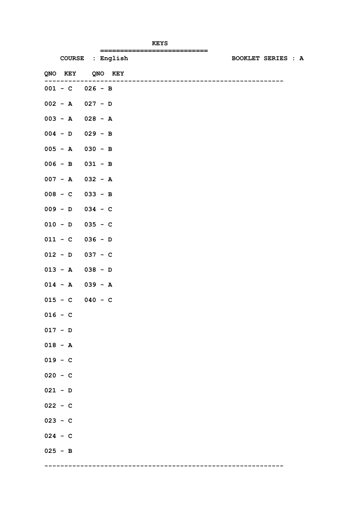|                     | ==============================    |                           |  |
|---------------------|-----------------------------------|---------------------------|--|
|                     | COURSE : English                  | <b>BOOKLET SERIES : A</b> |  |
| QNO KEY QNO KEY     | --------------------------------- |                           |  |
| $001 - C$ $026 - B$ |                                   |                           |  |
| $002 - A$ 027 - D   |                                   |                           |  |
| $003 - A$ $028 - A$ |                                   |                           |  |
| $004 - D$ 029 - B   |                                   |                           |  |
| $005 - A$ 030 - B   |                                   |                           |  |
| $006 - B$ 031 - B   |                                   |                           |  |
| $007 - A$ 032 - A   |                                   |                           |  |
| $008 - C$ 033 - B   |                                   |                           |  |
| $009 - D$ 034 - C   |                                   |                           |  |
| $010 - D$ 035 - C   |                                   |                           |  |
| $011 - C$ 036 - D   |                                   |                           |  |
| $012 - D$ 037 - C   |                                   |                           |  |
| $013 - A$ 038 - D   |                                   |                           |  |
| $014 - A$ 039 - A   |                                   |                           |  |
| $015 - C$ 040 - C   |                                   |                           |  |
| $016 - C$           |                                   |                           |  |
| $017 - D$           |                                   |                           |  |
| $018 - A$           |                                   |                           |  |
| $019 - C$           |                                   |                           |  |
| $020 - C$           |                                   |                           |  |
| $021 - D$           |                                   |                           |  |
| $022 - C$           |                                   |                           |  |
| $023 - C$           |                                   |                           |  |
| $024 - C$           |                                   |                           |  |
| $025 - B$           |                                   |                           |  |
|                     |                                   |                           |  |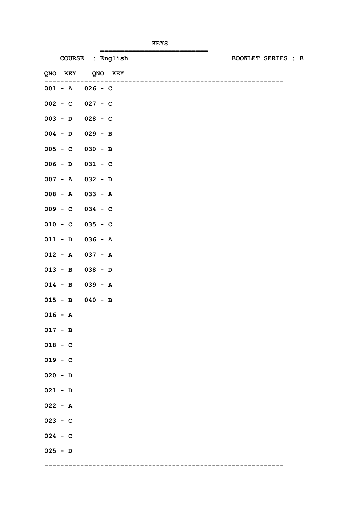|                     | =============================     |                           |  |  |
|---------------------|-----------------------------------|---------------------------|--|--|
|                     | COURSE : English                  | <b>BOOKLET SERIES : B</b> |  |  |
| QNO KEY QNO KEY     |                                   |                           |  |  |
| $001 - A$ $026 - C$ | --------------------------------- |                           |  |  |
| $002 - C$ 027 - C   |                                   |                           |  |  |
| $003 - D$ 028 - C   |                                   |                           |  |  |
| $004 - D$ 029 - B   |                                   |                           |  |  |
| $005 - C$ 030 - B   |                                   |                           |  |  |
| $006 - D$ $031 - C$ |                                   |                           |  |  |
| $007 - A$ 032 - D   |                                   |                           |  |  |
| $008 - A$ 033 - A   |                                   |                           |  |  |
| $009 - C$ 034 - C   |                                   |                           |  |  |
| $010 - C$ 035 - C   |                                   |                           |  |  |
| $011 - D$ 036 - A   |                                   |                           |  |  |
| $012 - A$ 037 - A   |                                   |                           |  |  |
| $013 - B$ 038 - D   |                                   |                           |  |  |
| $014 - B$ 039 - A   |                                   |                           |  |  |
| $015 - B$ 040 - B   |                                   |                           |  |  |
| $016 - A$           |                                   |                           |  |  |
| $017 - B$           |                                   |                           |  |  |
| $018 - C$           |                                   |                           |  |  |
| $019 - C$           |                                   |                           |  |  |
| $020 - D$           |                                   |                           |  |  |
| $021 - D$           |                                   |                           |  |  |
| $022 - A$           |                                   |                           |  |  |
| $023 - C$           |                                   |                           |  |  |
| $024 - C$           |                                   |                           |  |  |
| $025 - D$           |                                   |                           |  |  |
|                     |                                   |                           |  |  |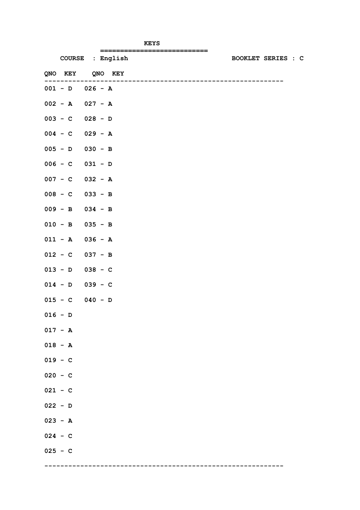|                     | =============================     |                           |  |  |
|---------------------|-----------------------------------|---------------------------|--|--|
| COURSE : English    |                                   | <b>BOOKLET SERIES : C</b> |  |  |
| QNO KEY QNO KEY     | _________________________________ |                           |  |  |
| $001 - D$ 026 - A   |                                   |                           |  |  |
| $002 - A$ 027 - A   |                                   |                           |  |  |
| $003 - C$ 028 - D   |                                   |                           |  |  |
| $004 - C$ 029 - A   |                                   |                           |  |  |
| $005 - D$ 030 - B   |                                   |                           |  |  |
| $006 - C$ $031 - D$ |                                   |                           |  |  |
| $007 - C$ 032 - A   |                                   |                           |  |  |
| $008 - C$ 033 - B   |                                   |                           |  |  |
| $009 - B$ 034 - B   |                                   |                           |  |  |
| $010 - B$ 035 - B   |                                   |                           |  |  |
| $011 - A$ 036 - A   |                                   |                           |  |  |
| $012 - C$ 037 - B   |                                   |                           |  |  |
| $013 - D$ 038 - C   |                                   |                           |  |  |
| $014 - D$ 039 - C   |                                   |                           |  |  |
| $015 - C$ 040 - D   |                                   |                           |  |  |
| $016 - D$           |                                   |                           |  |  |
| $017 - A$           |                                   |                           |  |  |
| $018 - A$           |                                   |                           |  |  |
| $019 - C$           |                                   |                           |  |  |
| $020 - C$           |                                   |                           |  |  |
| $021 - C$           |                                   |                           |  |  |
| $022 - D$           |                                   |                           |  |  |
| $023 - A$           |                                   |                           |  |  |
| $024 - C$           |                                   |                           |  |  |
| $025 - C$           |                                   |                           |  |  |
|                     |                                   |                           |  |  |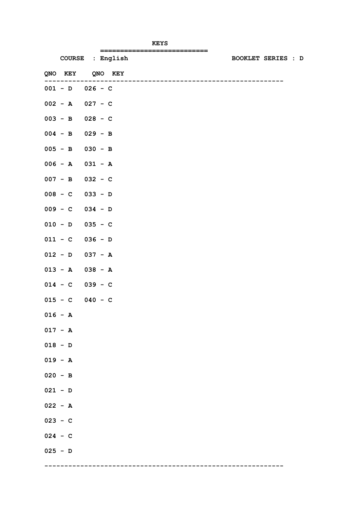|                     | ==============================       |                           |  |  |
|---------------------|--------------------------------------|---------------------------|--|--|
| COURSE : English    |                                      | <b>BOOKLET SERIES : D</b> |  |  |
| QNO KEY QNO KEY     | ------------------------------------ |                           |  |  |
| $001 - D$ 026 - C   |                                      |                           |  |  |
| $002 - A$ 027 - C   |                                      |                           |  |  |
| $003 - B$ 028 - C   |                                      |                           |  |  |
| $004 - B$ 029 - B   |                                      |                           |  |  |
| $005 - B$ 030 - B   |                                      |                           |  |  |
| $006 - A$ $031 - A$ |                                      |                           |  |  |
| $007 - B$ 032 - C   |                                      |                           |  |  |
| $008 - C$ 033 - D   |                                      |                           |  |  |
| $009 - C$ 034 - D   |                                      |                           |  |  |
| $010 - D$ 035 - C   |                                      |                           |  |  |
| $011 - C$ 036 - D   |                                      |                           |  |  |
| $012 - D$ 037 - A   |                                      |                           |  |  |
| $013 - A$ 038 - A   |                                      |                           |  |  |
| $014 - C$ 039 - C   |                                      |                           |  |  |
| $015 - C$ 040 - C   |                                      |                           |  |  |
| $016 - A$           |                                      |                           |  |  |
| $017 - A$           |                                      |                           |  |  |
| $018 - D$           |                                      |                           |  |  |
| $019 - A$           |                                      |                           |  |  |
| $020 - B$           |                                      |                           |  |  |
| $021 - D$           |                                      |                           |  |  |
| $022 - A$           |                                      |                           |  |  |
| $023 - C$           |                                      |                           |  |  |
| $024 - C$           |                                      |                           |  |  |
| $025 - D$           |                                      |                           |  |  |
|                     |                                      |                           |  |  |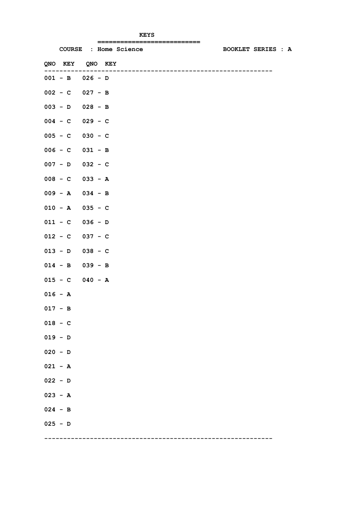|                     | ===========================<br>COURSE : Home Science | <b>BOOKLET SERIES : A</b> |
|---------------------|------------------------------------------------------|---------------------------|
| QNO KEY QNO KEY     |                                                      |                           |
| $001 - B$ 026 - D   | . _ _ _ _ _ _ _ _ _ _ _ _ _ _                        |                           |
| $002 - C$ 027 - B   |                                                      |                           |
| $003 - D$ 028 - B   |                                                      |                           |
| $004 - C$ 029 - C   |                                                      |                           |
| $005 - C$ 030 - C   |                                                      |                           |
| $006 - C$ $031 - B$ |                                                      |                           |
| $007 - D$ 032 - C   |                                                      |                           |
| $008 - C$ 033 - A   |                                                      |                           |
| $009 - A$ 034 - B   |                                                      |                           |
| $010 - A$ 035 - C   |                                                      |                           |
| $011 - C$ 036 - D   |                                                      |                           |
| $012 - C$ 037 - C   |                                                      |                           |
| $013 - D$ 038 - C   |                                                      |                           |
| $014 - B$ 039 - B   |                                                      |                           |
| $015 - C$ 040 - A   |                                                      |                           |
| $016 - A$           |                                                      |                           |
| $017 - B$           |                                                      |                           |
| $018 - C$           |                                                      |                           |
| $019 - D$           |                                                      |                           |
| $020 - D$           |                                                      |                           |
| $021 - A$           |                                                      |                           |
| $022 - D$           |                                                      |                           |
| $023 - A$           |                                                      |                           |
| $024 - B$           |                                                      |                           |
| $025 - D$           |                                                      |                           |
|                     |                                                      |                           |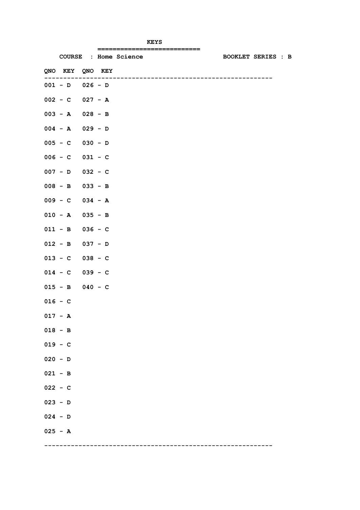|                     |  | :=========================== |                           |
|---------------------|--|------------------------------|---------------------------|
|                     |  | COURSE : Home Science        | <b>BOOKLET SERIES : B</b> |
| QNO KEY QNO KEY     |  |                              |                           |
| $001 - D$ 026 - D   |  |                              |                           |
| $002 - C$ 027 - A   |  |                              |                           |
| $003 - A$ 028 - B   |  |                              |                           |
| $004 - A$ 029 - D   |  |                              |                           |
| $005 - C$ 030 - D   |  |                              |                           |
| $006 - C$ $031 - C$ |  |                              |                           |
| $007 - D$ 032 - C   |  |                              |                           |
| $008 - B$ 033 - B   |  |                              |                           |
| $009 - C$ 034 - A   |  |                              |                           |
| $010 - A$ 035 - B   |  |                              |                           |
| $011 - B$ 036 - C   |  |                              |                           |
| $012 - B$ 037 - D   |  |                              |                           |
| $013 - C$ 038 - C   |  |                              |                           |
| $014 - C$ 039 - C   |  |                              |                           |
| $015 - B$ 040 - C   |  |                              |                           |
| $016 - C$           |  |                              |                           |
| $017 - A$           |  |                              |                           |
| $018 - B$           |  |                              |                           |
| $019 - C$           |  |                              |                           |
| $020 - D$           |  |                              |                           |
| $021 - B$           |  |                              |                           |
| $022 - C$           |  |                              |                           |
| $023 - D$           |  |                              |                           |
| $024 - D$           |  |                              |                           |
| $025 - A$           |  |                              |                           |
|                     |  |                              |                           |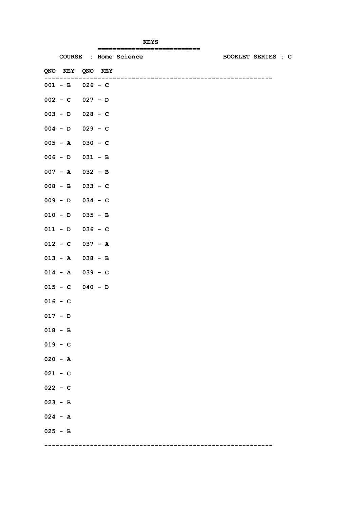|                   |           | :========================== |                           |
|-------------------|-----------|-----------------------------|---------------------------|
|                   |           | COURSE : Home Science       | <b>BOOKLET SERIES : C</b> |
| QNO KEY QNO KEY   |           |                             |                           |
| $001 - B$ 026 - C |           |                             |                           |
| $002 - C$ 027 - D |           |                             |                           |
| $003 - D$ 028 - C |           |                             |                           |
| $004 - D$ 029 - C |           |                             |                           |
| $005 - A$         | $030 - C$ |                             |                           |
| $006 - D$ 031 - B |           |                             |                           |
| $007 - A$ 032 - B |           |                             |                           |
| $008 - B$ 033 - C |           |                             |                           |
| $009 - D$ 034 - C |           |                             |                           |
| $010 - D$ 035 - B |           |                             |                           |
| $011 - D$ 036 - C |           |                             |                           |
| $012 - C$ 037 - A |           |                             |                           |
| $013 - A$ 038 - B |           |                             |                           |
| $014 - A$ 039 - C |           |                             |                           |
| $015 - C$ 040 - D |           |                             |                           |
| $016 - C$         |           |                             |                           |
| $017 - D$         |           |                             |                           |
| $018 - B$         |           |                             |                           |
| $019 - C$         |           |                             |                           |
| $020 - A$         |           |                             |                           |
| $021 - C$         |           |                             |                           |
| $022 - C$         |           |                             |                           |
| $023 - B$         |           |                             |                           |
| $024 - A$         |           |                             |                           |
| $025 - B$         |           |                             |                           |
|                   |           |                             |                           |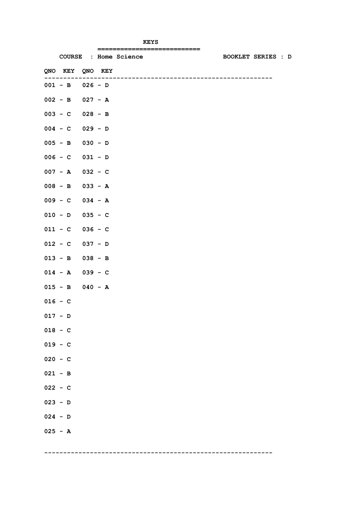|                     |  | ========================== |  |                           |  |
|---------------------|--|----------------------------|--|---------------------------|--|
|                     |  | COURSE : Home Science      |  | <b>BOOKLET SERIES : D</b> |  |
| QNO KEY QNO KEY     |  |                            |  |                           |  |
| $001 - B$ 026 - D   |  |                            |  |                           |  |
| $002 - B$ 027 - A   |  |                            |  |                           |  |
| $003 - C$ 028 - B   |  |                            |  |                           |  |
| $004 - C$ 029 - D   |  |                            |  |                           |  |
| $005 - B$ 030 - D   |  |                            |  |                           |  |
| $006 - C$ $031 - D$ |  |                            |  |                           |  |
| $007 - A$ 032 - C   |  |                            |  |                           |  |
| $008 - B$ 033 - A   |  |                            |  |                           |  |
| $009 - C$ 034 - A   |  |                            |  |                           |  |
| $010 - D$ 035 - C   |  |                            |  |                           |  |
| $011 - C$ 036 - C   |  |                            |  |                           |  |
| $012 - C$ 037 - D   |  |                            |  |                           |  |
| $013 - B$ 038 - B   |  |                            |  |                           |  |
| $014 - A$ 039 - C   |  |                            |  |                           |  |
| $015 - B$ 040 - A   |  |                            |  |                           |  |
| $016 - C$           |  |                            |  |                           |  |
| $017 - D$           |  |                            |  |                           |  |
| $018 - C$           |  |                            |  |                           |  |
| $019 - C$           |  |                            |  |                           |  |
| $020 - C$           |  |                            |  |                           |  |
| $021 - B$           |  |                            |  |                           |  |
| $022 - C$           |  |                            |  |                           |  |
| $023 - D$           |  |                            |  |                           |  |
| $024 - D$           |  |                            |  |                           |  |
| $025 - A$           |  |                            |  |                           |  |
|                     |  |                            |  |                           |  |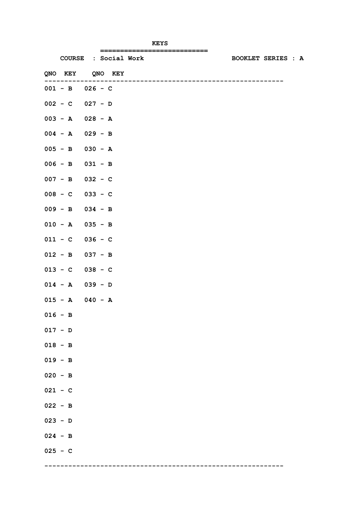|                     | COURSE : Social Work | ============================== | <b>BOOKLET SERIES : A</b> |
|---------------------|----------------------|--------------------------------|---------------------------|
| QNO KEY QNO KEY     |                      |                                |                           |
|                     |                      |                                |                           |
| $001 - B$ 026 - C   |                      |                                |                           |
| $002 - C$ 027 - D   |                      |                                |                           |
| $003 - A$ $028 - A$ |                      |                                |                           |
| $004 - A$ 029 - B   |                      |                                |                           |
| $005 - B$ 030 - A   |                      |                                |                           |
| $006 - B$ 031 - B   |                      |                                |                           |
| $007 - B$ 032 - C   |                      |                                |                           |
| $008 - C$ 033 - C   |                      |                                |                           |
| $009 - B$ 034 - B   |                      |                                |                           |
| $010 - A$ 035 - B   |                      |                                |                           |
| $011 - C$ 036 - C   |                      |                                |                           |
| $012 - B$ 037 - B   |                      |                                |                           |
| $013 - C$ 038 - C   |                      |                                |                           |
| $014 - A$ 039 - D   |                      |                                |                           |
| $015 - A$ 040 - A   |                      |                                |                           |
| $016 - B$           |                      |                                |                           |
| $017 - D$           |                      |                                |                           |
| $018 - B$           |                      |                                |                           |
| $019 - B$           |                      |                                |                           |
| $020 - B$           |                      |                                |                           |
| $021 - C$           |                      |                                |                           |
| $022 - B$           |                      |                                |                           |
| $023 - D$           |                      |                                |                           |
| $024 - B$           |                      |                                |                           |
| $025 - C$           |                      |                                |                           |
|                     |                      |                                |                           |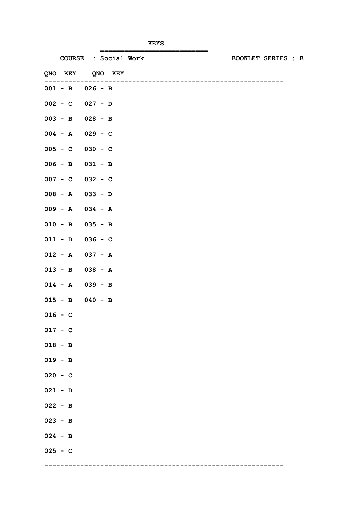|                   |                      | ============================== |                           |  |
|-------------------|----------------------|--------------------------------|---------------------------|--|
|                   | COURSE : Social Work |                                | <b>BOOKLET SERIES : B</b> |  |
| QNO KEY QNO KEY   |                      |                                |                           |  |
| $001 - B$ 026 - B |                      |                                |                           |  |
| $002 - C$ 027 - D |                      |                                |                           |  |
| $003 - B$ 028 - B |                      |                                |                           |  |
| $004 - A$ 029 - C |                      |                                |                           |  |
| $005 - C$ 030 - C |                      |                                |                           |  |
| $006 - B$ 031 - B |                      |                                |                           |  |
| $007 - C$ 032 - C |                      |                                |                           |  |
| $008 - A$ 033 - D |                      |                                |                           |  |
| $009 - A$ 034 - A |                      |                                |                           |  |
| $010 - B$ 035 - B |                      |                                |                           |  |
| $011 - D$ 036 - C |                      |                                |                           |  |
| $012 - A$ 037 - A |                      |                                |                           |  |
| $013 - B$ 038 - A |                      |                                |                           |  |
| $014 - A$ 039 - B |                      |                                |                           |  |
| $015 - B$ 040 - B |                      |                                |                           |  |
| $016 - C$         |                      |                                |                           |  |
| $017 - C$         |                      |                                |                           |  |
| $018 - B$         |                      |                                |                           |  |
| $019 - B$         |                      |                                |                           |  |
| $020 - C$         |                      |                                |                           |  |
| $021 - D$         |                      |                                |                           |  |
| $022 - B$         |                      |                                |                           |  |
| $023 - B$         |                      |                                |                           |  |
| $024 - B$         |                      |                                |                           |  |
| $025 - C$         |                      |                                |                           |  |
|                   |                      |                                |                           |  |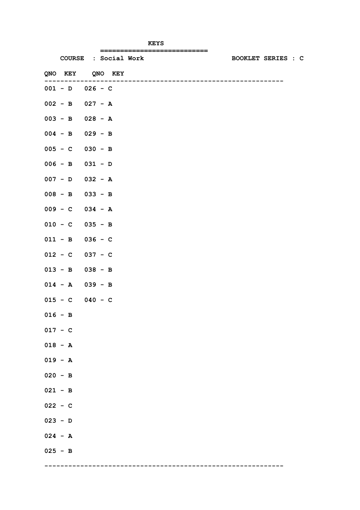|                     | COURSE : Social Work | ============================== | <b>BOOKLET SERIES : C</b> |
|---------------------|----------------------|--------------------------------|---------------------------|
| QNO KEY QNO KEY     |                      |                                |                           |
|                     |                      |                                |                           |
| $001 - D$ $026 - C$ |                      |                                |                           |
| $002 - B$ 027 - A   |                      |                                |                           |
| $003 - B$ 028 - A   |                      |                                |                           |
| $004 - B$ 029 - B   |                      |                                |                           |
| $005 - C$ 030 - B   |                      |                                |                           |
| $006 - B$ 031 - D   |                      |                                |                           |
| $007 - D$ 032 - A   |                      |                                |                           |
| $008 - B$ 033 - B   |                      |                                |                           |
| $009 - C$ 034 - A   |                      |                                |                           |
| $010 - C$ 035 - B   |                      |                                |                           |
| $011 - B$ 036 - C   |                      |                                |                           |
| $012 - C$ 037 - C   |                      |                                |                           |
| $013 - B$ 038 - B   |                      |                                |                           |
| $014 - A$ 039 - B   |                      |                                |                           |
| $015 - C$ 040 - C   |                      |                                |                           |
| $016 - B$           |                      |                                |                           |
| $017 - C$           |                      |                                |                           |
| $018 - A$           |                      |                                |                           |
| $019 - A$           |                      |                                |                           |
| $020 - B$           |                      |                                |                           |
| $021 - B$           |                      |                                |                           |
| $022 - C$           |                      |                                |                           |
| $023 - D$           |                      |                                |                           |
| $024 - A$           |                      |                                |                           |
| $025 - B$           |                      |                                |                           |
|                     |                      |                                |                           |